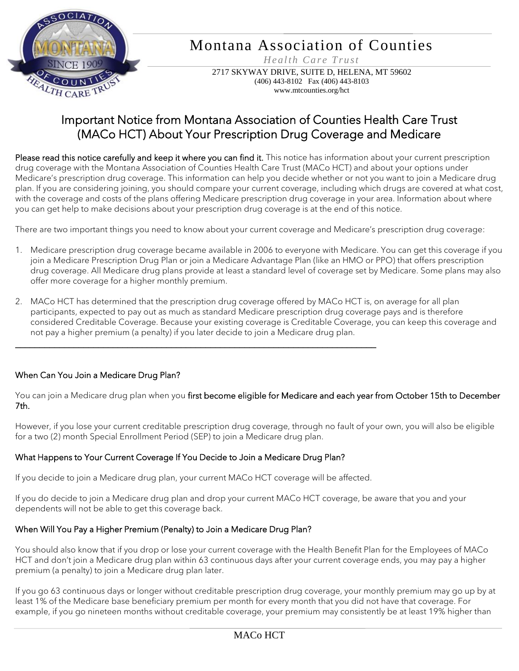

# Montana Association of Counties

*H e al th Ca r e T ru st*

2717 SKYWAY DRIVE, SUITE D, HELENA, MT 59602 (406) 443-8102 Fax (406) 443-8103 www.mtcounties.org/hct

## Important Notice from Montana Association of Counties Health Care Trust (MACo HCT) About Your Prescription Drug Coverage and Medicare

Please read this notice carefully and keep it where you can find it. This notice has information about your current prescription drug coverage with the Montana Association of Counties Health Care Trust (MACo HCT) and about your options under Medicare's prescription drug coverage. This information can help you decide whether or not you want to join a Medicare drug plan. If you are considering joining, you should compare your current coverage, including which drugs are covered at what cost, with the coverage and costs of the plans offering Medicare prescription drug coverage in your area. Information about where you can get help to make decisions about your prescription drug coverage is at the end of this notice.

There are two important things you need to know about your current coverage and Medicare's prescription drug coverage:

- 1. Medicare prescription drug coverage became available in 2006 to everyone with Medicare. You can get this coverage if you join a Medicare Prescription Drug Plan or join a Medicare Advantage Plan (like an HMO or PPO) that offers prescription drug coverage. All Medicare drug plans provide at least a standard level of coverage set by Medicare. Some plans may also offer more coverage for a higher monthly premium.
- 2. MACo HCT has determined that the prescription drug coverage offered by MACo HCT is, on average for all plan participants, expected to pay out as much as standard Medicare prescription drug coverage pays and is therefore considered Creditable Coverage. Because your existing coverage is Creditable Coverage, you can keep this coverage and not pay a higher premium (a penalty) if you later decide to join a Medicare drug plan.

#### When Can You Join a Medicare Drug Plan?

You can join a Medicare drug plan when you first become eligible for Medicare and each year from October 15th to December 7th.

However, if you lose your current creditable prescription drug coverage, through no fault of your own, you will also be eligible for a two (2) month Special Enrollment Period (SEP) to join a Medicare drug plan.

#### What Happens to Your Current Coverage If You Decide to Join a Medicare Drug Plan?

If you decide to join a Medicare drug plan, your current MACo HCT coverage will be affected.

\_\_\_\_\_\_\_\_\_\_\_\_\_\_\_\_\_\_\_\_\_\_\_\_\_\_\_\_\_\_\_\_\_\_\_\_\_\_\_\_\_\_\_\_\_\_\_\_\_\_\_\_\_\_\_\_\_\_\_\_\_\_\_\_\_\_\_\_\_\_\_\_\_\_

If you do decide to join a Medicare drug plan and drop your current MACo HCT coverage, be aware that you and your dependents will not be able to get this coverage back.

#### When Will You Pay a Higher Premium (Penalty) to Join a Medicare Drug Plan?

You should also know that if you drop or lose your current coverage with the Health Benefit Plan for the Employees of MACo HCT and don't join a Medicare drug plan within 63 continuous days after your current coverage ends, you may pay a higher premium (a penalty) to join a Medicare drug plan later.

If you go 63 continuous days or longer without creditable prescription drug coverage, your monthly premium may go up by at least 1% of the Medicare base beneficiary premium per month for every month that you did not have that coverage. For example, if you go nineteen months without creditable coverage, your premium may consistently be at least 19% higher than